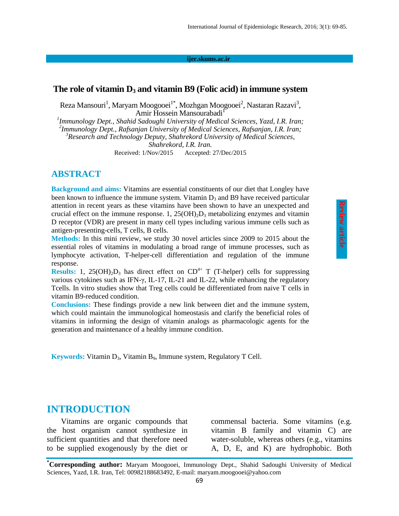**ijer.skums.ac.ir**

### **The role of vitamin D<sup>3</sup> and vitamin B9 (Folic acid) in immune system**

Reza Mansouri<sup>1</sup>, Maryam Moogooei<sup>1\*</sup>, Mozhgan Moogooei<sup>2</sup>, Nastaran Razavi<sup>3</sup>, Amir Hossein Mansourabadi<sup>1</sup>

*1 Immunology Dept., Shahid Sadoughi University of Medical Sciences, Yazd, I.R. Iran; 2 Immunology Dept., Rafsanjan University of Medical Sciences, Rafsanjan, I.R. Iran; <sup>3</sup>Research and Technology Deputy, Shahrekord University of Medical Sciences, Shahrekord, I.R. Iran.* Received: 1/Nov/2015 Accepted: 27/Dec/2015

### **ABSTRACT**

**Background and aims:** Vitamins are essential constituents of our diet that Longley have been known to influence the immune system. Vitamin  $D_3$  and B9 have received particular attention in recent years as these vitamins have been shown to have an unexpected and crucial effect on the immune response. 1,  $25(OH)_2D_3$  metabolizing enzymes and vitamin D receptor (VDR) are present in many cell types including various immune cells such as antigen-presenting-cells, T cells, B cells.

**Methods:** In this mini review, we study 30 novel articles since 2009 to 2015 about the essential roles of vitamins in modulating a broad range of immune processes, such as lymphocyte activation, T-helper-cell differentiation and regulation of the immune response.

**Results:** 1, 25(OH)<sub>2</sub>D<sub>3</sub> has direct effect on  $CD^{4+}$  T (T-helper) cells for suppressing various cytokines such as IFN-γ, IL-17, IL-21 and IL-22, while enhancing the regulatory Tcells. In vitro studies show that Treg cells could be differentiated from naive T cells in vitamin B9-reduced condition.

**Conclusions:** These findings provide a new link between diet and the immune system, which could maintain the immunological homeostasis and clarify the beneficial roles of vitamins in informing the design of vitamin analogs as pharmacologic agents for the generation and maintenance of a healthy immune condition.

**Keywords:** Vitamin D<sub>3</sub>, Vitamin B<sub>9</sub>, Immune system, Regulatory T Cell.

## **INTRODUCTION**

Vitamins are organic compounds that the host organism cannot synthesize in sufficient quantities and that therefore need to be supplied exogenously by the diet or

commensal bacteria. Some vitamins (e.g. vitamin B family and vitamin C) are water-soluble, whereas others (e.g., vitamins A, D, E, and K) are hydrophobic. Both

**<sup>\*</sup>Corresponding author:** Maryam Moogooei, Immunology Dept., Shahid Sadoughi University of Medical Sciences, Yazd, I.R. Iran, Tel: 00982188683492, E-mail: maryam.moogooei@yahoo.com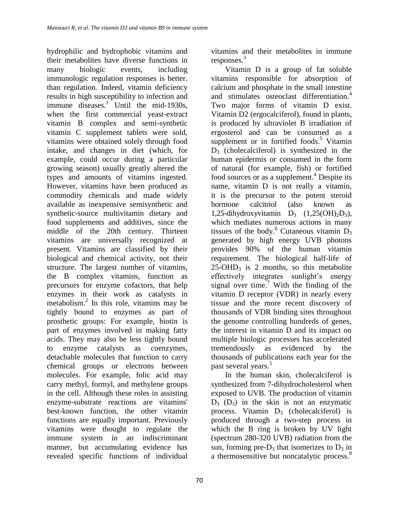hydrophilic and hydrophobic vitamins and their metabolites have diverse functions in many biologic events, including immunologic regulation responses is better. than regulation. Indeed, vitamin deficiency results in high susceptibility to infection and immune diseases.<sup>1</sup> Until the mid-1930s, when the first commercial yeast-extract vitamin B complex and semi-synthetic vitamin C supplement tablets were sold, vitamins were obtained solely through food intake, and changes in diet (which, for example, could occur during a particular growing season) usually greatly altered the types and amounts of vitamins ingested. However, vitamins have been produced as commodity [chemicals](https://en.wikipedia.org/wiki/Chemicals) and made widely available as inexpensive semisynthetic and synthetic-source [multivitamin](https://en.wikipedia.org/wiki/Multivitamin) dietary and food supplements and additives, since the middle of the 20th century. Thirteen vitamins are universally recognized at present. Vitamins are classified by their biological and chemical activity, not their structure. The largest number of vitamins, the [B complex](https://en.wikipedia.org/wiki/B_complex) vitamins, function as precursors for enzyme [cofactors,](https://en.wikipedia.org/wiki/Cofactor_%28biochemistry%29) that help enzymes in their work as [catalysts](https://en.wikipedia.org/wiki/Catalyst) in [metabolism.](https://en.wikipedia.org/wiki/Metabolism) 2 In this role, vitamins may be tightly bound to [enzymes](https://en.wikipedia.org/wiki/Enzyme) as part of [prosthetic groups:](https://en.wikipedia.org/wiki/Prosthetic_group) For example, [biotin](https://en.wikipedia.org/wiki/Biotin) is part of enzymes involved in making [fatty](https://en.wikipedia.org/wiki/Fatty_acid)  [acids.](https://en.wikipedia.org/wiki/Fatty_acid) They may also be less tightly bound to enzyme catalysts as [coenzymes,](https://en.wikipedia.org/wiki/Coenzyme) detachable molecules that function to carry [chemical groups](https://en.wikipedia.org/wiki/Functional_group) or electrons between molecules. For example, [folic acid](https://en.wikipedia.org/wiki/Folic_acid) may carry [methyl,](https://en.wikipedia.org/wiki/Methyl_group) [formyl,](https://en.wikipedia.org/wiki/Formyl) and [methylene](https://en.wikipedia.org/wiki/Methylene_group) groups in the cell. Although these roles in assisting enzyme-substrate reactions are vitamins' best-known function, the other vitamin functions are equally important. Previously vitamins were thought to regulate the immune system in an indiscriminant manner, but accumulating evidence has revealed specific functions of individual

vitamins and their metabolites in immune responses. 3

Vitamin D is a group of fat soluble vitamins responsible for absorption of calcium and phosphate in the small intestine and stimulates osteoclast differentiation. 4 Two major forms of vitamin D exist. Vitamin D2 (ergocalciferol), found in plants, is produced by ultraviolet B irradiation of ergosterol and can be consumed as a supplement or in fortified foods.<sup>5</sup> Vitamin  $D_3$  (cholecalciferol) is synthesized in the human epidermis or consumed in the form of natural (for example, fish) or fortified food sources or as a supplement.<sup>4</sup> Despite its name, vitamin D is not really a vitamin, it is the precursor to the potent steroid hormone calcitriol (also known as 1,25-dihydroxyvitamin  $D_3$   $(1,25(OH)_2D_3)$ , which mediates numerous actions in many tissues of the body.<sup>6</sup> Cutaneous vitamin  $\overrightarrow{D_3}$ generated by high energy UVB photons provides 90% of the human vitamin requirement. The biological half-life of  $25$ -OHD<sub>3</sub> is 2 months, so this metabolite effectively integrates sunlight's energy signal over time.<sup>7</sup> With the finding of the vitamin D receptor (VDR) in nearly every tissue and the more recent discovery of thousands of VDR binding sites throughout the genome controlling hundreds of genes, the interest in vitamin D and its impact on multiple biologic processes has accelerated tremendously as evidenced by the thousands of publications each year for the past several years. 5

In the human skin, cholecalciferol is synthesized from 7-dihydrocholesterol when exposed to UVB. The production of vitamin  $D_3$  ( $D_3$ ) in the skin is not an enzymatic process. Vitamin  $D_3$  (cholecalciferol) is produced through a two-step process in which the B ring is broken by UV light (spectrum 280-320 UVB) radiation from the sun, forming pre- $D_3$  that isomerizes to  $D_3$  in a thermosensitive but noncatalytic process.<sup>8</sup>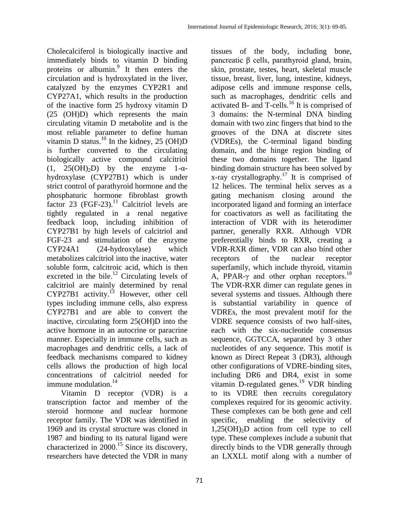Cholecalciferol is biologically inactive and immediately binds to vitamin D binding proteins or albumin. 9 It then enters the circulation and is hydroxylated in the liver, catalyzed by the enzymes CYP2R1 and CYP27A1, which results in the production of the inactive form 25 hydroxy vitamin D (25 (OH)D) which represents the main circulating vitamin D metabolite and is the most reliable parameter to define human vitamin D status.<sup>10</sup> In the kidney, 25 (OH)D is further converted to the circulating biologically active compound calcitriol  $(1, 25(OH)<sub>2</sub>D)$  by the enzyme 1- $\alpha$ hydroxylase (CYP27B1) which is under strict control of parathyroid hormone and the phosphaturic hormone fibroblast growth factor 23 (FGF-23).<sup>11</sup> Calcitriol levels are tightly regulated in a renal negative feedback loop, including inhibition of CYP27B1 by high levels of calcitriol and FGF-23 and stimulation of the enzyme CYP24A1 (24-hydroxylase) which metabolizes calcitriol into the inactive, water soluble form, calcitroic acid, which is then excreted in the bile. $12$  Circulating levels of calcitriol are mainly determined by renal  $CYP27B1$  activity.<sup>13</sup> However, other cell types including immune cells, also express CYP27B1 and are able to convert the inactive, circulating form 25(OH)D into the active hormone in an autocrine or paracrine manner. Especially in immune cells, such as macrophages and dendritic cells, a lack of feedback mechanisms compared to kidney cells allows the production of high local concentrations of calcitriol needed for immune modulation. 14

Vitamin D receptor (VDR) is a transcription factor and member of the steroid hormone and nuclear hormone receptor family. The VDR was identified in 1969 and its crystal structure was cloned in 1987 and binding to its natural ligand were characterized in 2000. <sup>15</sup> Since its discovery, researchers have detected the VDR in many

tissues of the body, including bone, pancreatic β cells, parathyroid gland, brain, skin, prostate, testes, heart, skeletal muscle tissue, breast, liver, lung, intestine, kidneys, adipose cells and immune response cells, such as macrophages, dendritic cells and activated B- and T-cells. <sup>16</sup> It is comprised of 3 domains: the N-terminal DNA binding domain with two zinc fingers that bind to the grooves of the DNA at discrete sites (VDREs), the C-terminal ligand binding domain, and the hinge region binding of these two domains together. The ligand binding domain structure has been solved by x-ray crystallography.<sup>17</sup> It is comprised of 12 helices. The terminal helix serves as a gating mechanism closing around the incorporated ligand and forming an interface for coactivators as well as facilitating the interaction of VDR with its heterodimer partner, generally RXR. Although VDR preferentially binds to RXR, creating a VDR-RXR dimer, VDR can also bind other receptors of the nuclear receptor superfamily, which include thyroid, vitamin A, PPAR- $\gamma$  and other orphan receptors.<sup>18</sup> The VDR-RXR dimer can regulate genes in several systems and tissues. Although there is substantial variability in quence of VDREs, the most prevalent motif for the VDRE sequence consists of two half-sites, each with the six-nucleotide consensus sequence, GGTCCA, separated by 3 other nucleotides of any sequence. This motif is known as Direct Repeat 3 (DR3), although other configurations of VDRE-binding sites, including DR6 and DR4, exist in some vitamin D-regulated genes. <sup>19</sup> VDR binding to its VDRE then recruits coregulatory complexes required for its genomic activity. These complexes can be both gene and cell specific, enabling the selectivity of  $1,25(OH)<sub>2</sub>D$  action from cell type to cell type. These complexes include a subunit that directly binds to the VDR generally through an LXXLL motif along with a number of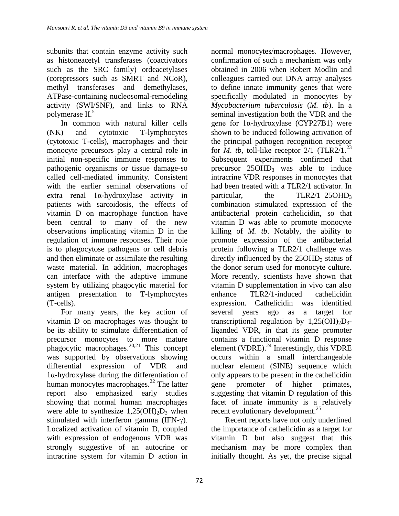subunits that contain enzyme activity such as histoneacetyl transferases (coactivators such as the SRC family) ordeacetylases (corepressors such as SMRT and NCoR), methyl transferases and demethylases, ATPase-containing nucleosomal-remodeling activity (SWI/SNF), and links to RNA polymerase II. 5

In common with natural killer cells (NK) and cytotoxic T-lymphocytes (cytotoxic T-cells), macrophages and their monocyte precursors play a central role in initial non-specific immune responses to pathogenic organisms or tissue damage-so called cell-mediated immunity. Consistent with the earlier seminal observations of extra renal 1α-hydroxylase activity in patients with sarcoidosis, the effects of vitamin D on macrophage function have been central to many of the new observations implicating vitamin D in the regulation of immune responses. Their role is to phagocytose pathogens or cell debris and then eliminate or assimilate the resulting waste material. In addition, macrophages can interface with the adaptive immune system by utilizing phagocytic material for antigen presentation to T-lymphocytes (T-cells).

For many years, the key action of vitamin D on macrophages was thought to be its ability to stimulate differentiation of precursor monocytes to more mature phagocytic macrophages.<sup>20,21</sup> This concept was supported by observations showing differential expression of VDR and 1α-hydroxylase during the differentiation of human monocytes macrophages. <sup>22</sup> The latter report also emphasized early studies showing that normal human macrophages were able to synthesize  $1,25(OH)_2D_3$  when stimulated with interferon gamma (IFN-γ). Localized activation of vitamin D, coupled with expression of endogenous VDR was strongly suggestive of an autocrine or intracrine system for vitamin D action in

normal monocytes/macrophages. However, confirmation of such a mechanism was only obtained in 2006 when Robert Modlin and colleagues carried out DNA array analyses to define innate immunity genes that were specifically modulated in monocytes by *Mycobacterium tuberculosis* (*M. tb*). In a seminal investigation both the VDR and the gene for 1α-hydroxylase (CYP27B1) were shown to be induced following activation of the principal pathogen recognition receptor for *M. tb*, toll-like receptor  $2/1$  (TLR2 $/1$ <sup>23</sup> Subsequent experiments confirmed that precursor 25OHD<sub>3</sub> was able to induce intracrine VDR responses in monocytes that had been treated with a TLR2/1 activator. In particular, the  $TLR2/1-25OHD<sub>3</sub>$ combination stimulated expression of the antibacterial protein cathelicidin, so that vitamin D was able to promote monocyte killing of *M. tb*. Notably, the ability to promote expression of the antibacterial protein following a TLR2/1 challenge was directly influenced by the  $25OHD<sub>3</sub>$  status of the donor serum used for monocyte culture. More recently, scientists have shown that vitamin D supplementation in vivo can also enhance TLR2/1-induced cathelicidin expression. Cathelicidin was identified several years ago as a target for transcriptional regulation by  $1,25(OH)_2D_3$ liganded VDR, in that its gene promoter contains a functional vitamin D response element (VDRE). $^{24}$  Interestingly, this VDRE occurs within a small interchangeable nuclear element (SINE) sequence which only appears to be present in the cathelicidin gene promoter of higher primates, suggesting that vitamin D regulation of this facet of innate immunity is a relatively recent evolutionary development.<sup>25</sup>

Recent reports have not only underlined the importance of cathelicidin as a target for vitamin D but also suggest that this mechanism may be more complex than initially thought. As yet, the precise signal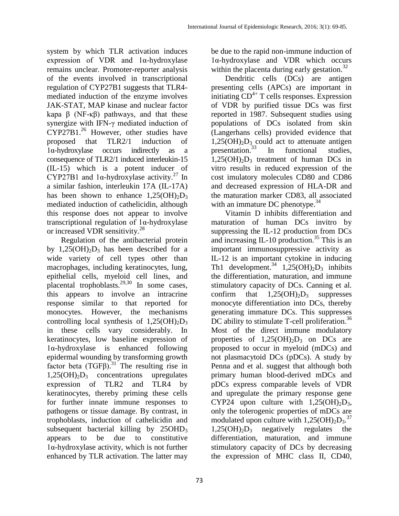be due to the rapid non-immune induction of 1α-hydroxylase and VDR which occurs within the placenta during early gestation.<sup>32</sup> Dendritic cells (DCs) are antigen presenting cells (APCs) are important in initiating  $CD^{4+}$  T cells responses. Expression of VDR by purified tissue DCs was first reported in 1987. Subsequent studies using populations of DCs isolated from skin (Langerhans cells) provided evidence that

system by which TLR activation induces expression of VDR and 1α-hydroxylase remains unclear. Promoter-reporter analysis of the events involved in transcriptional regulation of CYP27B1 suggests that TLR4 mediated induction of the enzyme involves JAK-STAT, MAP kinase and nuclear factor kapa β (NF- $κβ$ ) pathways, and that these synergize with IFN-γ mediated induction of CYP27B1. <sup>26</sup> However, other studies have proposed that TLR2/1 induction of 1α-hydroxylase occurs indirectly as a consequence of TLR2/1 induced interleukin-15 (IL-15) which is a potent inducer of CYP27B1 and  $1\alpha$ -hydroxylase activity.<sup>27</sup> In a similar fashion, interleukin 17A (IL-17A) has been shown to enhance  $1,25(OH)_{2}D_{3}$ mediated induction of cathelicidin, although this response does not appear to involve transcriptional regulation of 1α-hydroxylase or increased VDR sensitivity.<sup>28</sup>

Regulation of the antibacterial protein by  $1,25(OH)_{2}D_{3}$  has been described for a wide variety of cell types other than macrophages, including keratinocytes, lung, epithelial cells, myeloid cell lines, and placental trophoblasts.29,30 In some cases, this appears to involve an intracrine response similar to that reported for monocytes. However, the mechanisms controlling local synthesis of  $1,25(OH)<sub>2</sub>D<sub>3</sub>$ in these cells vary considerably. In keratinocytes, low baseline expression of 1α-hydroxylase is enhanced following epidermal wounding by transforming growth factor beta  $(TGF\beta)$ .<sup>31</sup> The resulting rise in  $1,25(OH)<sub>2</sub>D<sub>3</sub>$  concentrations upregulates expression of TLR2 and TLR4 by keratinocytes, thereby priming these cells for further innate immune responses to pathogens or tissue damage. By contrast, in trophoblasts, induction of cathelicidin and subsequent bacterial killing by 25OHD<sub>3</sub> appears to be due to constitutive 1α-hydroxylase activity, which is not further enhanced by TLR activation. The latter may

 $1,25(OH)_{2}D_{3}$  could act to attenuate antigen

presentation.<sup>33</sup> In functional studies,  $1,25(OH)_{2}D_{3}$  treatment of human DCs in vitro results in reduced expression of the cost imulatory molecules CD80 and CD86 and decreased expression of HLA-DR and the maturation marker CD83, all associated with an immature DC phenotype.<sup>34</sup>

Vitamin D inhibits differentiation and maturation of human DCs invitro by suppressing the IL-12 production from DCs and increasing IL-10 production. <sup>35</sup> This is an important immunosuppressive activity as IL-12 is an important cytokine in inducing Th1 development.<sup>34</sup> 1,25(OH)<sub>2</sub>D<sub>3</sub> inhibits the differentiation, maturation, and immune stimulatory capacity of DCs. Canning et al. confirm that  $1,25(OH)_{2}D_{3}$  suppresses monocyte differentiation into DCs, thereby generating immature DCs. This suppresses DC ability to stimulate T-cell proliferation.<sup>36</sup> Most of the direct immune modulatory properties of  $1,25(OH)<sub>2</sub>D<sub>3</sub>$  on DCs are proposed to occur in myeloid (mDCs) and not plasmacytoid DCs (pDCs). A study by Penna and et al. suggest that although both primary human blood-derived mDCs and pDCs express comparable levels of VDR and upregulate the primary response gene CYP24 upon culture with  $1,25(OH)_{2}D_{3}$ , only the tolerogenic properties of mDCs are modulated upon culture with  $1,25(OH)_{2}D_{3}$ .<sup>37</sup>  $1,25(OH)<sub>2</sub>D<sub>3</sub>$  negatively regulates the differentiation, maturation, and immune stimulatory capacity of DCs by decreasing the expression of MHC class II, CD40,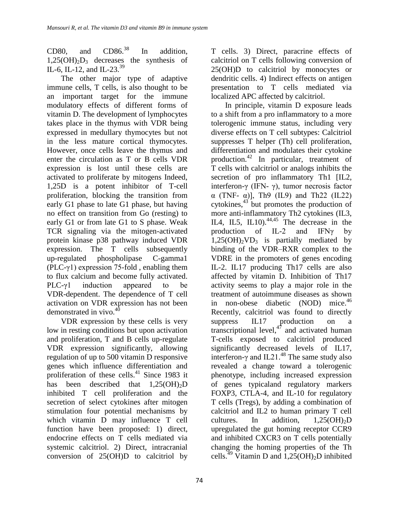CD80, and CD86. In addition.  $1.25(OH)<sub>2</sub>D<sub>3</sub>$  decreases the synthesis of IL-6, IL-12, and IL-23.<sup>39</sup>

The other major type of adaptive immune cells, T cells, is also thought to be an important target for the immune modulatory effects of different forms of vitamin D. The development of lymphocytes takes place in the thymus with VDR being expressed in medullary thymocytes but not in the less mature cortical thymocytes. However, once cells leave the thymus and enter the circulation as T or B cells VDR expression is lost until these cells are activated to proliferate by mitogens Indeed, 1,25D is a potent inhibitor of T-cell proliferation, blocking the transition from early G1 phase to late G1 phase, but having no effect on transition from Go (resting) to early G1 or from late G1 to S phase. Weak TCR signaling via the mitogen-activated protein kinase p38 pathway induced VDR expression. The T cells subsequently up-regulated phospholipase C-gamma1 (PLC- $\gamma$ 1) expression 75-fold, enabling them to flux calcium and become fully activated. PLC-γ1 induction appeared to be VDR-dependent. The dependence of T cell activation on VDR expression has not been demonstrated in vivo.<sup>40</sup>

VDR expression by these cells is very low in resting conditions but upon activation and proliferation, T and B cells up-regulate VDR expression significantly, allowing regulation of up to 500 vitamin D responsive genes which influence differentiation and proliferation of these cells.<sup>41</sup> Since 1983 it has been described that  $1,25(OH)_{2}D$ inhibited T cell proliferation and the secretion of select cytokines after mitogen stimulation four potential mechanisms by which vitamin D may influence T cell function have been proposed: 1) direct, endocrine effects on T cells mediated via systemic calcitriol. 2) Direct, intracranial conversion of 25(OH)D to calcitriol by

T cells. 3) Direct, paracrine effects of calcitriol on T cells following conversion of 25(OH)D to calcitriol by monocytes or dendritic cells. 4) Indirect effects on antigen presentation to T cells mediated via localized APC affected by calcitriol.

In principle, vitamin D exposure leads to a shift from a pro inflammatory to a more tolerogenic immune status, including very diverse effects on T cell subtypes: Calcitriol suppresses T helper (Th) cell proliferation, differentiation and modulates their cytokine production. <sup>42</sup> In particular, treatment of T cells with calcitriol or analogs inhibits the secretion of pro inflammatory Th1 [IL2, interferon-γ (IFN- γ), tumor necrosis factor  $\alpha$  (TNF-  $\alpha$ )], Th9 (IL9) and Th22 (IL22) cytokines, $43$  but promotes the production of more anti-inflammatory Th2 cytokines (IL3, ILA, IL5, IL10). $^{44,45}$  The decrease in the production of IL-2 and IFN $\gamma$  by  $1,25(OH)_{2}VD_{3}$  is partially mediated by binding of the VDR–RXR complex to the VDRE in the promoters of genes encoding IL-2. IL17 producing Th17 cells are also affected by vitamin D. Inhibition of Th17 activity seems to play a major role in the treatment of autoimmune diseases as shown in non-obese diabetic (NOD) mice.<sup>46</sup> Recently, calcitriol was found to directly suppress IL17 production on a transcriptional level, $4^{\frac{1}{7}}$  and activated human T-cells exposed to calcitriol produced significantly decreased levels of IL17, interferon- $\gamma$  and IL21.<sup>48</sup> The same study also revealed a change toward a tolerogenic phenotype, including increased expression of genes typicaland regulatory markers FOXP3, CTLA-4, and IL-10 for regulatory T cells (Tregs), by adding a combination of calcitriol and IL2 to human primary T cell cultures. In addition,  $1.25(OH)_{2}D$ upregulated the gut homing receptor CCR9 and inhibited CXCR3 on T cells potentially changing the homing properties of the Th cells.<sup>49</sup> Vitamin D and  $1,25(OH)_2D$  inhibited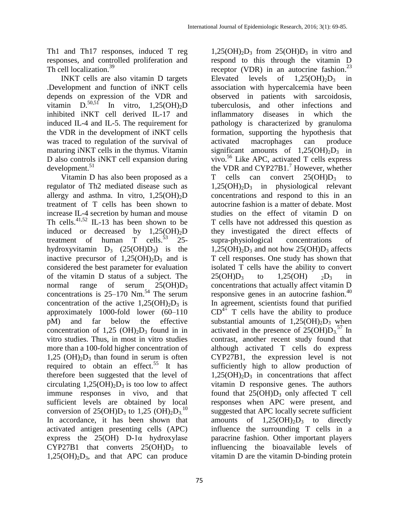Th1 and Th17 responses, induced T reg responses, and controlled proliferation and Th cell localization.<sup>39</sup>

INKT cells are also vitamin D targets .Development and function of iNKT cells depends on expression of the VDR and vitamin  $D^{50,51}$ In vitro,  $1,25(OH)_{2}D$ inhibited iNKT cell derived IL-17 and induced IL-4 and IL-5. The requirement for the VDR in the development of iNKT cells was traced to regulation of the survival of maturing iNKT cells in the thymus. Vitamin D also controls iNKT cell expansion during development. 51

Vitamin D has also been proposed as a regulator of Th2 mediated disease such as allergy and asthma. In vitro,  $1,25(OH)_{2}D$ treatment of T cells has been shown to increase IL-4 secretion by human and mouse Th cells.<sup>41,52</sup> IL-13 has been shown to be induced or decreased by  $1,25(OH)_{2}D$ treatment of human T cells.<sup>53</sup> 25hydroxyvitamin  $D_3$  (25(OH) $D_3$ ) is the inactive precursor of  $1,25(OH)_{2}D_{3}$  and is considered the best parameter for evaluation of the vitamin D status of a subject. The normal range of serum  $25(OHD_3)$ concentrations is  $25-170$  Nm.<sup>54</sup> The serum concentration of the active  $1,25(OH)<sub>2</sub>D<sub>3</sub>$  is approximately 1000-fold lower (60–110 pM) and far below the effective concentration of 1,25 (OH) $_2D_3$  found in in vitro studies. Thus, in most in vitro studies more than a 100-fold higher concentration of  $1,25$  (OH)<sub>2</sub>D<sub>3</sub> than found in serum is often required to obtain an effect.<sup>55</sup> It has therefore been suggested that the level of circulating  $1,25(OH)_{2}D_{3}$  is too low to affect immune responses in vivo, and that sufficient levels are obtained by local conversion of 25(OH) $D_3$  to 1,25 (OH) $_2D_3$ .<sup>10</sup> In accordance, it has been shown that activated antigen presenting cells (APC) express the  $25(OH)$  D-1 $\alpha$  hydroxylase CYP27B1 that converts  $25(OH)D_3$  to  $1,25(OH)<sub>2</sub>D<sub>3</sub>$ , and that APC can produce

 $1,25(OH)_{2}D_{3}$  from  $25(OH)D_{3}$  in vitro and respond to this through the vitamin D receptor (VDR) in an autocrine fashion.<sup>23</sup> Elevated levels of  $1,25(OH)<sub>2</sub>D<sub>3</sub>$  in association with hypercalcemia have been observed in patients with sarcoidosis, tuberculosis, and other infections and inflammatory diseases in which the pathology is characterized by granuloma formation, supporting the hypothesis that activated macrophages can produce significant amounts of  $1,25(OH)_2D_3$  in vivo. <sup>56</sup> Like APC, activated T cells express the VDR and CYP27B1. <sup>7</sup> However, whether T cells can convert  $25(OH)D_3$  to  $1,25(OH)<sub>2</sub>D<sub>3</sub>$  in physiological relevant concentrations and respond to this in an autocrine fashion is a matter of debate. Most studies on the effect of vitamin D on T cells have not addressed this question as they investigated the direct effects of supra-physiological concentrations of  $1,25(OH)_{2}D_{3}$  and not how  $25(OH)D_{3}$  affects T cell responses. One study has shown that isolated T cells have the ability to convert  $25(OH)D_3$  to  $1,25(OH)$   $2D_3$  in concentrations that actually affect vitamin D responsive genes in an autocrine fashion. $40$ In agreement, scientists found that purified  $CD^{4+}$  T cells have the ability to produce substantial amounts of  $1,25(OH)_{2}D_{3}$  when activated in the presence of  $25(OH)D_3$ <sup>57</sup> In contrast, another recent study found that although activated T cells do express CYP27B1, the expression level is not sufficiently high to allow production of  $1,25(OH)_{2}D_{3}$  in concentrations that affect vitamin D responsive genes. The authors found that  $25(OH)D_3$  only affected T cell responses when APC were present, and suggested that APC locally secrete sufficient amounts of  $1,25(OH)_2D_3$  to directly influence the surrounding T cells in a paracrine fashion. Other important players influencing the bioavailable levels of vitamin D are the vitamin D-binding protein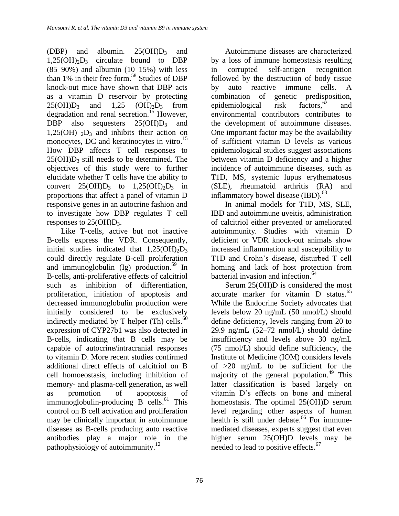(DBP) and albumin.  $25(OH)D_3$  and  $1,25(OH)_{2}D_{3}$  circulate bound to DBP  $(85-90%)$  and albumin  $(10-15%)$  with less than 1% in their free form. <sup>58</sup> Studies of DBP knock-out mice have shown that DBP acts as a vitamin D reservoir by protecting  $25(OH)D_3$  and  $1,25(OH)_2D_3$  from degradation and renal secretion.<sup>15</sup> However, DBP also sequesters  $25(OH)D_3$  and 1,25(OH)  $_2D_3$  and inhibits their action on monocytes, DC and keratinocytes in vitro.<sup>15</sup> How DBP affects T cell responses to  $25(OH)D_3$  still needs to be determined. The objectives of this study were to further elucidate whether T cells have the ability to convert  $25(OH)D_3$  to  $1,25(OH)_2D_3$  in proportions that affect a panel of vitamin D responsive genes in an autocrine fashion and to investigate how DBP regulates T cell responses to 25(OH)D3.

Like T-cells, active but not inactive B-cells express the VDR. Consequently, initial studies indicated that  $1,25(OH)_{2}D_{3}$ could directly regulate B-cell proliferation and immunoglobulin (Ig) production. <sup>59</sup> In B-cells, anti-proliferative effects of calcitriol such as inhibition of differentiation, proliferation, initiation of apoptosis and decreased immunoglobulin production were initially considered to be exclusively indirectly mediated by T helper (Th) cells. $\delta$ <sup>0</sup> expression of CYP27b1 was also detected in B-cells, indicating that B cells may be capable of autocrine/intracranial responses to vitamin D. More recent studies confirmed additional direct effects of calcitriol on B cell homoeostasis, including inhibition of memory- and plasma-cell generation, as well as promotion of apoptosis of immunoglobulin-producing B cells.<sup>61</sup> This control on B cell activation and proliferation may be clinically important in autoimmune diseases as B-cells producing auto reactive antibodies play a major role in the pathophysiology of autoimmunity.<sup>12</sup>

76

Autoimmune diseases are characterized by a loss of immune homeostasis resulting in corrupted self-antigen recognition followed by the destruction of body tissue by auto reactive immune cells. A combination of genetic predisposition, epidemiological risk factors,<sup>62</sup> and environmental contributors contributes to the development of autoimmune diseases. One important factor may be the availability of sufficient vitamin D levels as various epidemiological studies suggest associations between vitamin D deficiency and a higher incidence of autoimmune diseases, such as T1D, MS, systemic lupus erythematosus (SLE), rheumatoid arthritis (RA) and inflammatory bowel disease  $(BD)$ .<sup>63</sup>

In animal models for T1D, MS, SLE, IBD and autoimmune uveitis, administration of calcitriol either prevented or ameliorated autoimmunity. Studies with vitamin D deficient or VDR knock-out animals show increased inflammation and susceptibility to T1D and Crohn's disease, disturbed T cell homing and lack of host protection from bacterial invasion and infection. 64

Serum 25(OH)D is considered the most accurate marker for vitamin D status. 65 While the Endocrine Society advocates that levels below 20 ng/mL (50 nmol/L) should define deficiency, levels ranging from 20 to 29.9 ng/mL (52–72 nmol/L) should define insufficiency and levels above 30 ng/mL (75 nmol/L) should define sufficiency, the Institute of Medicine (IOM) considers levels of >20 ng/mL to be sufficient for the majority of the general population. <sup>49</sup> This latter classification is based largely on vitamin D's effects on bone and mineral homeostasis. The optimal 25(OH)D serum level regarding other aspects of human health is still under debate. <sup>66</sup> For immunemediated diseases, experts suggest that even higher serum 25(OH)D levels may be needed to lead to positive effects.<sup>67</sup>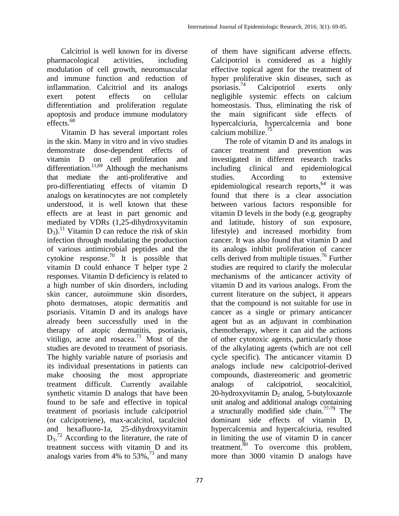of them have significant adverse effects. Calcipotriol is considered as a highly

Calcitriol is well known for its diverse pharmacological activities, including modulation of cell growth, neuromuscular and immune function and reduction of inflammation. Calcitriol and its analogs exert potent effects on cellular differentiation and proliferation regulate apoptosis and produce immune modulatory effects. 68

Vitamin D has several important roles in the skin. Many in vitro and in vivo studies demonstrate dose-dependent effects of vitamin D on cell proliferation and differentiation.<sup>11,69</sup> Although the mechanisms that mediate the anti-proliferative and pro-differentiating effects of vitamin D analogs on keratinocytes are not completely understood, it is well known that these effects are at least in part genomic and mediated by VDRs (1,25-dihydroxyvitamin D3). <sup>11</sup> Vitamin D can reduce the risk of skin infection through modulating the production of various antimicrobial peptides and the cytokine response.<sup>70</sup> It is possible that vitamin D could enhance T helper type 2 responses. Vitamin D deficiency is related to a high number of skin disorders, including skin cancer, autoimmune skin disorders, photo dermatoses, atopic dermatitis and psoriasis. Vitamin D and its analogs have already been successfully used in the therapy of atopic dermatitis, psoriasis, vitiligo, acne and rosacea. $71$  Most of the studies are devoted to treatment of psoriasis. The highly variable nature of psoriasis and its individual presentations in patients can make choosing the most appropriate treatment difficult. Currently available synthetic vitamin D analogs that have been found to be safe and effective in topical treatment of psoriasis include calcipotriol (or calcipotriene), max-acalcitol, tacalcitol and hexafluoro-1a, 25-dihydroxyvitamin  $D_3$ <sup>72</sup> According to the literature, the rate of treatment success with vitamin D and its analogs varies from 4% to  $53\%$ ,  $^{73}$  and many effective topical agent for the treatment of hyper proliferative skin diseases, such as psoriasis. Calcipotriol exerts only negligible systemic effects on calcium homeostasis. Thus, eliminating the risk of the main significant side effects of hypercalciuria, hypercalcemia and bone calcium mobilize. $^{75}$ The role of vitamin D and its analogs in cancer treatment and prevention was

investigated in different research tracks including clinical and epidemiological studies. According to extensive epidemiological research reports, <sup>64</sup> it was found that there is a clear association between various factors responsible for vitamin D levels in the body (e.g. geography and latitude, history of sun exposure, lifestyle) and increased morbidity from cancer. It was also found that vitamin D and its analogs inhibit proliferation of cancer cells derived from multiple tissues. <sup>76</sup> Further studies are required to clarify the molecular mechanisms of the anticancer activity of vitamin D and its various analogs. From the current literature on the subject, it appears that the compound is not suitable for use in cancer as a single or primary anticancer agent but as an adjuvant in combination chemotherapy, where it can aid the actions of other cytotoxic agents, particularly those of the alkylating agents (which are not cell cycle specific). The anticancer vitamin D analogs include new calcipotriol-derived compounds, diastereomeric and geometric analogs of calcipotriol, seocalcitiol, 20-hydroxyvitamin  $D_2$  analog, 5-butyloxazole unit analog and additional analogs containing a structurally modified side chain.<sup>77-79</sup> The dominant side effects of vitamin D, hypercalcemia and hypercalciuria, resulted in limiting the use of vitamin D in cancer treatment. $80$  To overcome this problem, more than 3000 vitamin D analogs have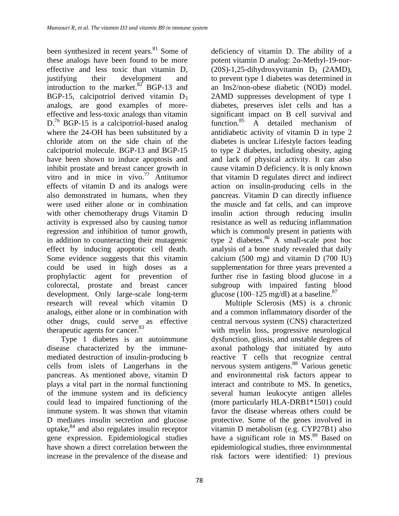been synthesized in recent years. <sup>81</sup> Some of these analogs have been found to be more effective and less toxic than vitamin D, justifying their development and introduction to the market. $82^{2}$  BGP-13 and BGP-15, calcipotriol derived vitamin  $D_3$ analogs, are good examples of moreeffective and less-toxic analogs than vitamin D.<sup>76</sup> BGP-15 is a calcipotriol-based analog where the 24-OH has been substituted by a chloride atom on the side chain of the calcipotriol molecule. BGP-13 and BGP-15 have been shown to induce apoptosis and inhibit prostate and breast cancer growth in vitro and in mice in vivo. <sup>77</sup> Antitumor effects of vitamin D and its analogs were also demonstrated in humans, when they were used either alone or in combination with other chemotherapy drugs Vitamin D activity is expressed also by causing tumor regression and inhibition of tumor growth, in addition to counteracting their mutagenic effect by inducing apoptotic cell death. Some evidence suggests that this vitamin could be used in high doses as a prophylactic agent for prevention of colorectal, prostate and breast cancer development. Only large-scale long-term research will reveal which vitamin D analogs, either alone or in combination with other drugs, could serve as effective therapeutic agents for cancer. 83

Type 1 diabetes is an autoimmune disease characterized by the immunemediated destruction of insulin-producing b cells from islets of Langerhans in the pancreas. As mentioned above, vitamin D plays a vital part in the normal functioning of the immune system and its deficiency could lead to impaired functioning of the immune system. It was shown that vitamin D mediates insulin secretion and glucose uptake, <sup>84</sup> and also regulates insulin receptor gene expression. Epidemiological studies have shown a direct correlation between the increase in the prevalence of the disease and

deficiency of vitamin D. The ability of a potent vitamin D analog: 2α-Methyl-19-nor-  $(20S)-1,25$ -dihydroxyvitamin D<sub>3</sub>  $(2AMD)$ , to prevent type 1 diabetes was determined in an Ins2/non-obese diabetic (NOD) model. 2AMD suppresses development of type 1 diabetes, preserves islet cells and has a significant impact on B cell survival and function.<sup>85</sup> A detailed mechanism of antidiabetic activity of vitamin D in type 2 diabetes is unclear Lifestyle factors leading to type 2 diabetes, including obesity, aging and lack of physical activity. It can also cause vitamin D deficiency. It is only known that vitamin D regulates direct and indirect action on insulin-producing cells in the pancreas. Vitamin D can directly influence the muscle and fat cells, and can improve insulin action through reducing insulin resistance as well as reducing inflammation which is commonly present in patients with type 2 diabetes. $86 \text{ A}$  small-scale post hoc analysis of a bone study revealed that daily calcium (500 mg) and vitamin D (700 IU) supplementation for three years prevented a further rise in fasting blood glucose in a subgroup with impaired fasting blood glucose (100–125 mg/dl) at a baseline. $87$ 

Multiple Sclerosis (MS) is a chronic and a common inflammatory disorder of the central nervous system (CNS) characterized with myelin loss, progressive neurological dysfunction, gliosis, and unstable degrees of axonal pathology that initiated by auto reactive T cells that recognize central nervous system antigens. <sup>88</sup> Various genetic and environmental risk factors appear to interact and contribute to MS. In genetics, several human leukocyte antigen alleles (more particularly HLA-DRB1\*1501) could favor the disease whereas others could be protective. Some of the genes involved in vitamin D metabolism (e.g. CYP27B1) also have a significant role in MS.<sup>89</sup> Based on epidemiological studies, three environmental risk factors were identified: 1) previous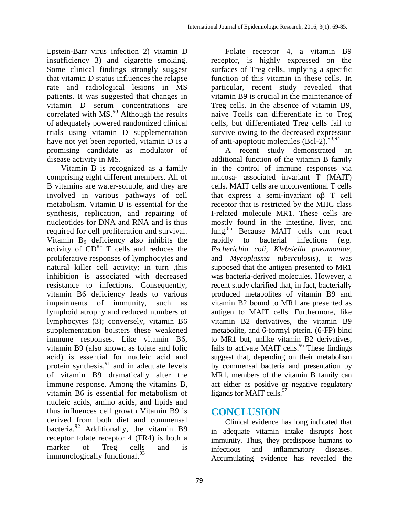Epstein-Barr virus infection 2) vitamin D insufficiency 3) and cigarette smoking. Some clinical findings strongly suggest that vitamin D status influences the relapse rate and radiological lesions in MS patients. It was suggested that changes in vitamin D serum concentrations are correlated with  $MS.<sup>90</sup>$  Although the results of adequately powered randomized clinical trials using vitamin D supplementation have not yet been reported, vitamin D is a promising candidate as modulator of disease activity in MS.

Vitamin B is recognized as a family comprising eight different members. All of B vitamins are water-soluble, and they are involved in various pathways of cell metabolism. Vitamin B is essential for the synthesis, replication, and repairing of nucleotides for DNA and RNA and is thus required for cell proliferation and survival. Vitamin B<sup>9</sup> deficiency also inhibits the activity of  $CD^{8+}$  T cells and reduces the proliferative responses of lymphocytes and natural killer cell activity; in turn ,this inhibition is associated with decreased resistance to infections. Consequently, vitamin B6 deficiency leads to various impairments of immunity, such as lymphoid atrophy and reduced numbers of lymphocytes (3); conversely, vitamin B6 supplementation bolsters these weakened immune responses. Like vitamin B6, vitamin B9 (also known as folate and folic acid) is essential for nucleic acid and protein synthesis,<sup>91</sup> and in adequate levels of vitamin B9 dramatically alter the immune response. Among the vitamins B, vitamin B6 is essential for metabolism of nucleic acids, amino acids, and lipids and thus influences cell growth Vitamin B9 is derived from both diet and commensal bacteria.<sup>92</sup> Additionally, the vitamin B9 receptor folate receptor 4 (FR4) is both a marker of Treg cells and is immunologically functional.<sup>93</sup>

Folate receptor 4, a vitamin B9 receptor, is highly expressed on the surfaces of Treg cells, implying a specific function of this vitamin in these cells. In particular, recent study revealed that vitamin B9 is crucial in the maintenance of Treg cells. In the absence of vitamin B9, naive Tcells can differentiate in to Treg cells, but differentiated Treg cells fail to survive owing to the decreased expression of anti-apoptotic molecules (Bcl-2).<sup>93,94</sup>

A recent study demonstrated an additional function of the vitamin B family in the control of immune responses via mucosa- associated invariant T (MAIT) cells. MAIT cells are unconventional T cells that express a semi-invariant  $\alpha\beta$  T cell receptor that is restricted by the MHC class I-related molecule MR1. These cells are mostly found in the intestine, liver, and lung.<sup>65</sup> Because MAIT cells can react rapidly to bacterial infections (e.g. *Escherichia coli, Klebsiella pneumoniae,*  and *Mycoplasma tuberculosis*), it was supposed that the antigen presented to MR1 was bacteria-derived molecules. However, a recent study clarified that, in fact, bacterially produced metabolites of vitamin B9 and vitamin B2 bound to MR1 are presented as antigen to MAIT cells. Furthermore, like vitamin B2 derivatives, the vitamin B9 metabolite, and 6-formyl pterin. (6-FP) bind to MR1 but, unlike vitamin B2 derivatives, fails to activate MAIT cells.<sup>96</sup> These findings suggest that, depending on their metabolism by commensal bacteria and presentation by MR1, members of the vitamin B family can act either as positive or negative regulatory ligands for MAIT cells.<sup>97</sup>

# **CONCLUSION**

Clinical evidence has long indicated that in adequate vitamin intake disrupts host immunity. Thus, they predispose humans to infectious and inflammatory diseases. Accumulating evidence has revealed the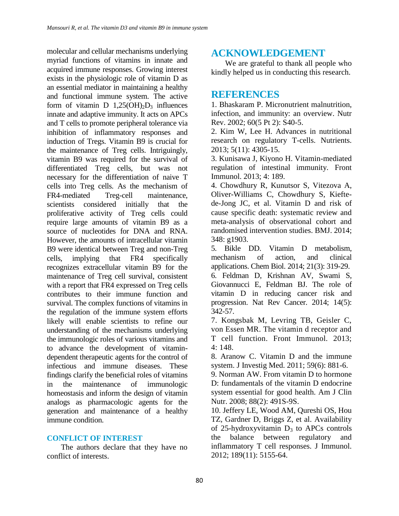molecular and cellular mechanisms underlying myriad functions of vitamins in innate and acquired immune responses. Growing interest exists in the physiologic role of vitamin D as an essential mediator in maintaining a healthy and functional immune system. The active form of vitamin D  $1,25(OH)_2D_3$  influences innate and adaptive immunity. It acts on APCs and T cells to promote peripheral tolerance via inhibition of inflammatory responses and induction of Tregs. Vitamin B9 is crucial for the maintenance of Treg cells. Intriguingly, vitamin B9 was required for the survival of differentiated Treg cells, but was not necessary for the differentiation of naive T cells into Treg cells. As the mechanism of FR4-mediated Treg-cell maintenance, scientists considered initially that the proliferative activity of Treg cells could require large amounts of vitamin B9 as a source of nucleotides for DNA and RNA. However, the amounts of intracellular vitamin B9 were identical between Treg and non-Treg cells, implying that FR4 specifically recognizes extracellular vitamin B9 for the maintenance of Treg cell survival, consistent with a report that FR4 expressed on Treg cells contributes to their immune function and survival. The complex functions of vitamins in the regulation of the immune system efforts likely will enable scientists to refine our understanding of the mechanisms underlying the immunologic roles of various vitamins and to advance the development of vitamindependent therapeutic agents for the control of infectious and immune diseases. These findings clarify the beneficial roles of vitamins in the maintenance of immunologic homeostasis and inform the design of vitamin analogs as pharmacologic agents for the generation and maintenance of a healthy immune condition.

#### **CONFLICT OF INTEREST**

The authors declare that they have no conflict of interests.

## **ACKNOWLEDGEMENT**

We are grateful to thank all people who kindly helped us in conducting this research.

### **REFERENCES**

1. Bhaskaram P. Micronutrient malnutrition, infection, and immunity: an overview. Nutr Rev. 2002; 60(5 Pt 2): S40-5.

2. Kim W, Lee H. Advances in nutritional research on regulatory T-cells. Nutrients. 2013; 5(11): 4305-15.

3. Kunisawa J, Kiyono H. Vitamin-mediated regulation of intestinal immunity. Front Immunol. 2013; 4: 189.

4. Chowdhury R, Kunutsor S, Vitezova A, Oliver-Williams C, Chowdhury S, Kieftede-Jong JC, et al. Vitamin D and risk of cause specific death: systematic review and meta-analysis of observational cohort and randomised intervention studies. BMJ. 2014; 348: g1903.

5. Bikle DD. Vitamin D metabolism, mechanism of action, and clinical applications. Chem Biol. 2014; 21(3): 319-29. 6. Feldman D, Krishnan AV, Swami S, Giovannucci E, Feldman BJ. The role of vitamin D in reducing cancer risk and progression. Nat Rev Cancer. 2014; 14(5): 342-57.

7. Kongsbak M, Levring TB, Geisler C, von Essen MR. The vitamin d receptor and T cell function. Front Immunol. 2013; 4: 148.

8. Aranow C. Vitamin D and the immune system. J Investig Med. 2011; 59(6): 881-6.

9. Norman AW. From vitamin D to hormone D: fundamentals of the vitamin D endocrine system essential for good health. Am J Clin Nutr. 2008; 88(2): 491S-9S.

10. Jeffery LE, Wood AM, Qureshi OS, Hou TZ, Gardner D, Briggs Z, et al. Availability of 25-hydroxyvitamin  $D_3$  to APCs controls the balance between regulatory and inflammatory T cell responses. J Immunol. 2012; 189(11): 5155-64.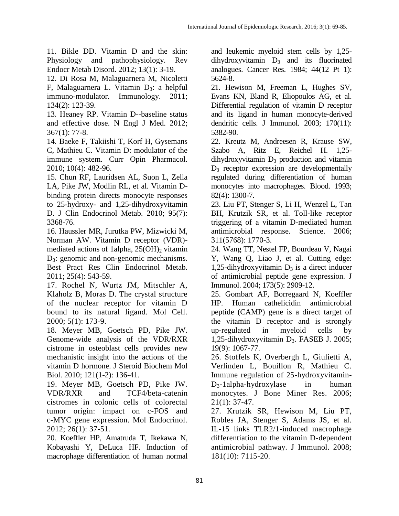11. Bikle DD. Vitamin D and the skin: Physiology and pathophysiology. Rev Endocr Metab Disord. 2012; 13(1): 3-19.

12. Di Rosa M, Malaguarnera M, Nicoletti F, Malaguarnera L. Vitamin  $D_3$ : a helpful immuno-modulator. Immunology. 2011; 134(2): 123-39.

13. Heaney RP. Vitamin D--baseline status and effective dose. N Engl J Med. 2012; 367(1): 77-8.

14. Baeke F, Takiishi T, Korf H, Gysemans C, Mathieu C. Vitamin D: modulator of the immune system. Curr Opin Pharmacol. 2010; 10(4): 482-96.

15. Chun RF, Lauridsen AL, Suon L, Zella LA, Pike JW, Modlin RL, et al. Vitamin Dbinding protein directs monocyte responses to 25-hydroxy- and 1,25-dihydroxyvitamin D. J Clin Endocrinol Metab. 2010; 95(7): 3368-76.

16. Haussler MR, Jurutka PW, Mizwicki M, Norman AW. Vitamin D receptor (VDR) mediated actions of 1alpha,  $25(OH)$ <sub>2</sub> vitamin D<sub>3</sub>: genomic and non-genomic mechanisms. Best Pract Res Clin Endocrinol Metab. 2011; 25(4): 543-59.

17. Rochel N, Wurtz JM, Mitschler A, Klaholz B, Moras D. The crystal structure of the nuclear receptor for vitamin D bound to its natural ligand. Mol Cell. 2000; 5(1): 173-9.

18. Meyer MB, Goetsch PD, Pike JW. Genome-wide analysis of the VDR/RXR cistrome in osteoblast cells provides new mechanistic insight into the actions of the vitamin D hormone. J Steroid Biochem Mol Biol. 2010; 121(1-2): 136-41.

19. Meyer MB, Goetsch PD, Pike JW. VDR/RXR and TCF4/beta-catenin cistromes in colonic cells of colorectal tumor origin: impact on c-FOS and c-MYC gene expression. Mol Endocrinol. 2012; 26(1): 37-51.

20. Koeffler HP, Amatruda T, Ikekawa N, Kobayashi Y, DeLuca HF. Induction of macrophage differentiation of human normal

and leukemic myeloid stem cells by 1,25  $dihydroxyvitamin$   $D_3$  and its fluorinated analogues. Cancer Res. 1984; 44(12 Pt 1): 5624-8.

21. Hewison M, Freeman L, Hughes SV, Evans KN, Bland R, Eliopoulos AG, et al. Differential regulation of vitamin D receptor and its ligand in human monocyte-derived dendritic cells. J Immunol. 2003; 170(11): 5382-90.

22. Kreutz M, Andreesen R, Krause SW, Szabo A, Ritz E, Reichel H. 1,25  $d$ ihydroxyvitamin  $D_3$  production and vitamin  $D_3$  receptor expression are developmentally regulated during differentiation of human monocytes into macrophages. Blood. 1993; 82(4): 1300-7.

23. Liu PT, Stenger S, Li H, Wenzel L, Tan BH, Krutzik SR, et al. Toll-like receptor triggering of a vitamin D-mediated human antimicrobial response. Science. 2006; 311(5768): 1770-3.

24. Wang TT, Nestel FP, Bourdeau V, Nagai Y, Wang Q, Liao J, et al. Cutting edge: 1,25-dihydroxyvitamin  $D_3$  is a direct inducer of antimicrobial peptide gene expression. J Immunol. 2004; 173(5): 2909-12.

25. Gombart AF, Borregaard N, Koeffler HP. Human cathelicidin antimicrobial peptide (CAMP) gene is a direct target of the vitamin D receptor and is strongly up-regulated in myeloid cells by 1,25-dihydroxyvitamin D3. FASEB J. 2005; 19(9): 1067-77.

26. Stoffels K, Overbergh L, Giulietti A, Verlinden L, Bouillon R, Mathieu C. Immune regulation of 25-hydroxyvitamin- $D_3$ -1alpha-hydroxylase in human monocytes. J Bone Miner Res. 2006;  $21(1): 37-47.$ 

27. Krutzik SR, Hewison M, Liu PT, Robles JA, Stenger S, Adams JS, et al. IL-15 links TLR2/1-induced macrophage differentiation to the vitamin D-dependent antimicrobial pathway. J Immunol. 2008; 181(10): 7115-20.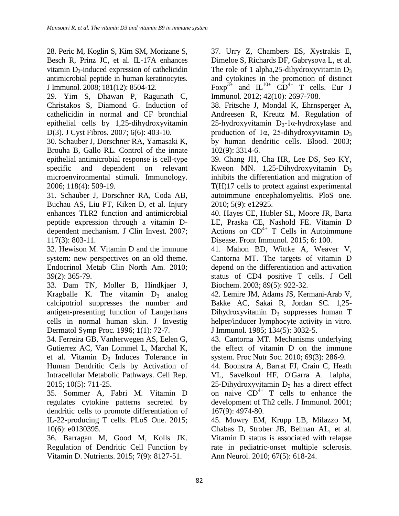28. Peric M, Koglin S, Kim SM, Morizane S, Besch R, Prinz JC, et al. IL-17A enhances vitamin  $D_3$ -induced expression of cathelicidin antimicrobial peptide in human keratinocytes. J Immunol. 2008; 181(12): 8504-12.

29. Yim S, Dhawan P, Ragunath C, Christakos S, Diamond G. Induction of cathelicidin in normal and CF bronchial epithelial cells by 1,25-dihydroxyvitamin D(3). J Cyst Fibros. 2007; 6(6): 403-10.

30. Schauber J, Dorschner RA, Yamasaki K, Brouha B, Gallo RL. Control of the innate epithelial antimicrobial response is cell-type specific and dependent on relevant microenvironmental stimuli. Immunology. 2006; 118(4): 509-19.

31. Schauber J, Dorschner RA, Coda AB, Buchau AS, Liu PT, Kiken D, et al. Injury enhances TLR2 function and antimicrobial peptide expression through a vitamin Ddependent mechanism. J Clin Invest. 2007; 117(3): 803-11.

32. Hewison M. Vitamin D and the immune system: new perspectives on an old theme. Endocrinol Metab Clin North Am. 2010; 39(2): 365-79.

33. Dam TN, Moller B, Hindkjaer J, Kragballe K. The vitamin  $D_3$  analog calcipotriol suppresses the number and antigen-presenting function of Langerhans cells in normal human skin. J Investig Dermatol Symp Proc. 1996; 1(1): 72-7.

34. Ferreira GB, Vanherwegen AS, Eelen G, Gutierrez AC, Van Lommel L, Marchal K, et al. Vitamin  $D_3$  Induces Tolerance in Human Dendritic Cells by Activation of Intracellular Metabolic Pathways. Cell Rep. 2015; 10(5): 711-25.

35. Sommer A, Fabri M. Vitamin D regulates cytokine patterns secreted by dendritic cells to promote differentiation of IL-22-producing T cells. PLoS One. 2015; 10(6): e0130395.

36. Barragan M, Good M, Kolls JK. Regulation of Dendritic Cell Function by Vitamin D. Nutrients. 2015; 7(9): 8127-51.

37. Urry Z, Chambers ES, Xystrakis E, Dimeloe S, Richards DF, Gabrysova L, et al. The role of 1 alpha, 25-dihydroxyvitamin  $D_3$ and cytokines in the promotion of distinct Foxp<sup>3+</sup> and  $IL^{10+}CD^{4+}T$  cells. Eur J Immunol. 2012; 42(10): 2697-708.

38. Fritsche J, Mondal K, Ehrnsperger A, Andreesen R, Kreutz M. Regulation of  $25$ -hydroxyvitamin  $D_3$ -1 $\alpha$ -hydroxylase and production of  $1\alpha$ , 25-dihydroxyvitamin D<sub>3</sub> by human dendritic cells. Blood. 2003; 102(9): 3314-6.

39. Chang JH, Cha HR, Lee DS, Seo KY, Kweon MN. 1,25-Dihydroxyvitamin  $D_3$ inhibits the differentiation and migration of T(H)17 cells to protect against experimental autoimmune encephalomyelitis. PloS one. 2010; 5(9): e12925.

40. Hayes CE, Hubler SL, Moore JR, Barta LE, Praska CE, Nashold FE. Vitamin D Actions on  $CD^{4+}$  T Cells in Autoimmune Disease. Front Immunol. 2015; 6: 100.

41. Mahon BD, Wittke A, Weaver V, Cantorna MT. The targets of vitamin D depend on the differentiation and activation status of CD4 positive T cells. J Cell Biochem. 2003; 89(5): 922-32.

42. Lemire JM, Adams JS, Kermani-Arab V, Bakke AC, Sakai R, Jordan SC. 1,25- Dihydroxyvitamin  $D_3$  suppresses human T helper/inducer lymphocyte activity in vitro. J Immunol. 1985; 134(5): 3032-5.

43. Cantorna MT. Mechanisms underlying the effect of vitamin D on the immune system. Proc Nutr Soc. 2010; 69(3): 286-9.

44. Boonstra A, Barrat FJ, Crain C, Heath VL, Savelkoul HF, O'Garra A. 1alpha, 25-Dihydroxyvitamin  $D_3$  has a direct effect on naive  $CD^{4+}$  T cells to enhance the development of Th2 cells. J Immunol. 2001; 167(9): 4974-80.

45. Mowry EM, Krupp LB, Milazzo M, Chabas D, Strober JB, Belman AL, et al. Vitamin D status is associated with relapse rate in pediatric-onset multiple sclerosis. Ann Neurol. 2010; 67(5): 618-24.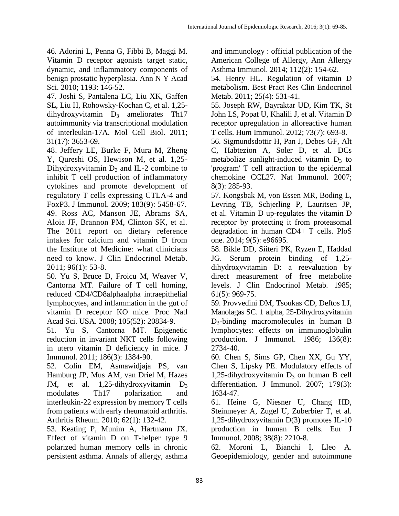46. Adorini L, Penna G, Fibbi B, Maggi M. Vitamin D receptor agonists target static, dynamic, and inflammatory components of benign prostatic hyperplasia. Ann N Y Acad Sci. 2010; 1193: 146-52.

47. Joshi S, Pantalena LC, Liu XK, Gaffen SL, Liu H, Rohowsky-Kochan C, et al. 1,25 dihydroxyvitamin  $D_3$  ameliorates Th17 autoimmunity via transcriptional modulation of interleukin-17A. Mol Cell Biol. 2011; 31(17): 3653-69.

48. Jeffery LE, Burke F, Mura M, Zheng Y, Qureshi OS, Hewison M, et al. 1,25- Dihydroxyvitamin  $D_3$  and IL-2 combine to inhibit T cell production of inflammatory cytokines and promote development of regulatory T cells expressing CTLA-4 and FoxP3. J Immunol. 2009; 183(9): 5458-67. 49. Ross AC, Manson JE, Abrams SA, Aloia JF, Brannon PM, Clinton SK, et al. The 2011 report on dietary reference intakes for calcium and vitamin D from the Institute of Medicine: what clinicians need to know. J Clin Endocrinol Metab. 2011; 96(1): 53-8.

50. Yu S, Bruce D, Froicu M, Weaver V, Cantorna MT. Failure of T cell homing, reduced CD4/CD8alphaalpha intraepithelial lymphocytes, and inflammation in the gut of vitamin D receptor KO mice. Proc Natl Acad Sci. USA. 2008; 105(52): 20834-9.

51. Yu S, Cantorna MT. Epigenetic reduction in invariant NKT cells following in utero vitamin D deficiency in mice. J Immunol. 2011; 186(3): 1384-90.

52. Colin EM, Asmawidjaja PS, van Hamburg JP, Mus AM, van Driel M, Hazes JM, et al.  $1,25$ -dihydroxyvitamin  $D_3$ modulates Th17 polarization and interleukin-22 expression by memory T cells from patients with early rheumatoid arthritis. Arthritis Rheum. 2010; 62(1): 132-42.

53. Keating P, Munim A, Hartmann JX. Effect of vitamin D on T-helper type 9 polarized human memory cells in chronic persistent asthma. Annals of allergy, asthma

and immunology : official publication of the American College of Allergy, Ann Allergy Asthma Immunol. 2014; 112(2): 154-62.

54. Henry HL. Regulation of vitamin D metabolism. Best Pract Res Clin Endocrinol Metab. 2011; 25(4): 531-41.

55. Joseph RW, Bayraktar UD, Kim TK, St John LS, Popat U, Khalili J, et al. Vitamin D receptor upregulation in alloreactive human T cells. Hum Immunol. 2012; 73(7): 693-8.

56. Sigmundsdottir H, Pan J, Debes GF, Alt C, Habtezion A, Soler D, et al. DCs metabolize sunlight-induced vitamin  $D_3$  to 'program' T cell attraction to the epidermal chemokine CCL27. Nat Immunol. 2007; 8(3): 285-93.

57. Kongsbak M, von Essen MR, Boding L, Levring TB, Schjerling P, Lauritsen JP, et al. Vitamin D up-regulates the vitamin D receptor by protecting it from proteasomal degradation in human CD4+ T cells. PloS one. 2014; 9(5): e96695.

58. Bikle DD, Siiteri PK, Ryzen E, Haddad JG. Serum protein binding of 1,25 dihydroxyvitamin D: a reevaluation by direct measurement of free metabolite levels. J Clin Endocrinol Metab. 1985; 61(5): 969-75.

59. Provvedini DM, Tsoukas CD, Deftos LJ, Manolagas SC. 1 alpha, 25-Dihydroxyvitamin D3-binding macromolecules in human B lymphocytes: effects on immunoglobulin production. J Immunol. 1986; 136(8): 2734-40.

60. Chen S, Sims GP, Chen XX, Gu YY, Chen S, Lipsky PE. Modulatory effects of 1,25-dihydroxyvitamin  $D_3$  on human B cell differentiation. J Immunol. 2007; 179(3): 1634-47.

61. Heine G, Niesner U, Chang HD, Steinmeyer A, Zugel U, Zuberbier T, et al. 1,25-dihydroxyvitamin D(3) promotes IL-10 production in human B cells. Eur J Immunol. 2008; 38(8): 2210-8.

62. Moroni L, Bianchi I, Lleo A. Geoepidemiology, gender and autoimmune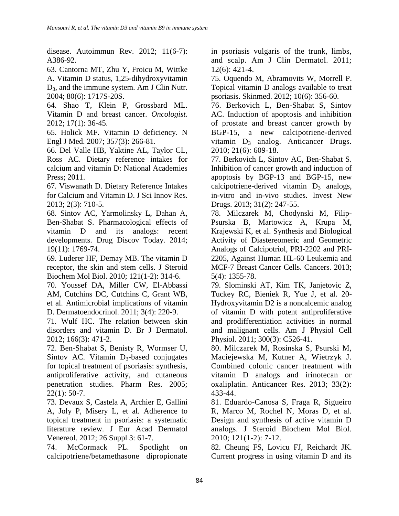disease. Autoimmun Rev. 2012; 11(6-7): A386-92.

63. Cantorna MT, Zhu Y, Froicu M, Wittke A. Vitamin D status, 1,25-dihydroxyvitamin D3, and the immune system. Am J Clin Nutr. 2004; 80(6): 1717S-20S.

64. Shao T, Klein P, Grossbard ML. Vitamin D and breast cancer. *Oncologist*. 2012; 17(1): 36-45.

65. Holick MF. Vitamin D deficiency. N Engl J Med. 2007; 357(3): 266-81.

66. Del Valle HB, Yaktine AL, Taylor CL, Ross AC. Dietary reference intakes for calcium and vitamin D: National Academies Press; 2011.

67. Viswanath D. Dietary Reference Intakes for Calcium and Vitamin D. J Sci Innov Res. 2013; 2(3): 710-5.

68. Sintov AC, Yarmolinsky L, Dahan A, Ben-Shabat S. Pharmacological effects of vitamin D and its analogs: recent developments. Drug Discov Today. 2014; 19(11): 1769-74.

69. Luderer HF, Demay MB. The vitamin D receptor, the skin and stem cells. J Steroid Biochem Mol Biol. 2010; 121(1-2): 314-6.

70. Youssef DA, Miller CW, El-Abbassi AM, Cutchins DC, Cutchins C, Grant WB, et al. Antimicrobial implications of vitamin D. Dermatoendocrinol. 2011; 3(4): 220-9.

71. Wulf HC. The relation between skin disorders and vitamin D. Br J Dermatol. 2012; 166(3): 471-2.

72. Ben-Shabat S, Benisty R, Wormser U, Sintov AC. Vitamin  $D_3$ -based conjugates for topical treatment of psoriasis: synthesis, antiproliferative activity, and cutaneous penetration studies. Pharm Res. 2005;  $22(1): 50-7.$ 

73. Devaux S, Castela A, Archier E, Gallini A, Joly P, Misery L, et al. Adherence to topical treatment in psoriasis: a systematic literature review. J Eur Acad Dermatol Venereol. 2012; 26 Suppl 3: 61-7.

74. McCormack PL. Spotlight on calcipotriene/betamethasone dipropionate in psoriasis vulgaris of the trunk, limbs, and scalp. Am J Clin Dermatol. 2011; 12(6): 421-4.

75. Oquendo M, Abramovits W, Morrell P. Topical vitamin D analogs available to treat psoriasis. Skinmed. 2012; 10(6): 356-60.

76. Berkovich L, Ben-Shabat S, Sintov AC. Induction of apoptosis and inhibition of prostate and breast cancer growth by BGP-15, a new calcipotriene-derived vitamin  $D_3$  analog. Anticancer Drugs. 2010; 21(6): 609-18.

77. Berkovich L, Sintov AC, Ben-Shabat S. Inhibition of cancer growth and induction of apoptosis by BGP-13 and BGP-15, new calcipotriene-derived vitamin  $D_3$  analogs, in-vitro and in-vivo studies. Invest New Drugs. 2013; 31(2): 247-55.

78. Milczarek M, Chodynski M, Filip-Psurska B, Martowicz A, Krupa M, Krajewski K, et al. Synthesis and Biological Activity of Diastereomeric and Geometric Analogs of Calcipotriol, PRI-2202 and PRI-2205, Against Human HL-60 Leukemia and MCF-7 Breast Cancer Cells. Cancers. 2013; 5(4): 1355-78.

79. Slominski AT, Kim TK, Janjetovic Z, Tuckey RC, Bieniek R, Yue J, et al. 20- Hydroxyvitamin D2 is a noncalcemic analog of vitamin D with potent antiproliferative and prodifferentiation activities in normal and malignant cells. Am J Physiol Cell Physiol. 2011; 300(3): C526-41.

80. Milczarek M, Rosinska S, Psurski M, Maciejewska M, Kutner A, Wietrzyk J. Combined colonic cancer treatment with vitamin D analogs and irinotecan or oxaliplatin. Anticancer Res. 2013; 33(2): 433-44.

81. Eduardo-Canosa S, Fraga R, Sigueiro R, Marco M, Rochel N, Moras D, et al. Design and synthesis of active vitamin D analogs. J Steroid Biochem Mol Biol. 2010; 121(1-2): 7-12.

82. Cheung FS, Lovicu FJ, Reichardt JK. Current progress in using vitamin D and its